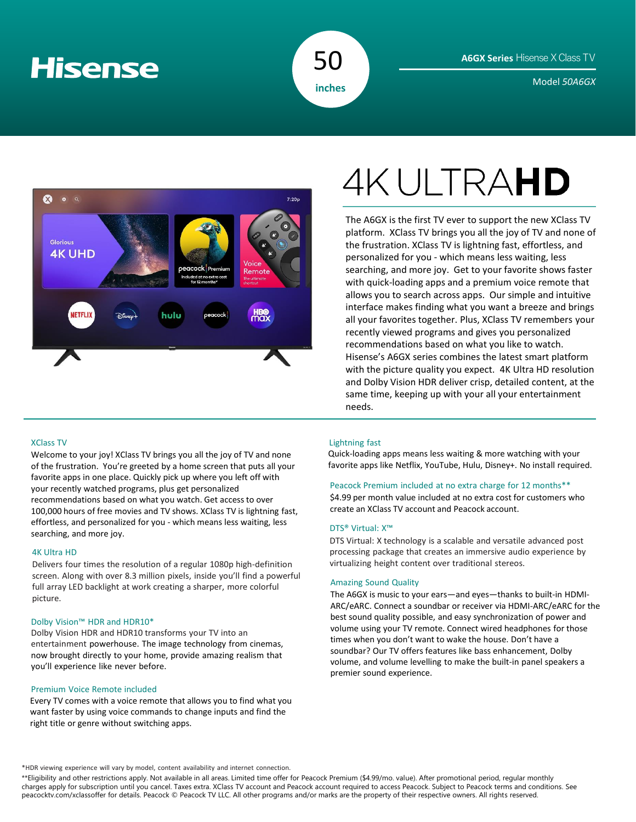# **Hisense**



Model *50A6GX* **inches**



# XClass TV

Welcome to your joy! XClass TV brings you all the joy of TV and none of the frustration. You're greeted by a home screen that puts all your favorite apps in one place. Quickly pick up where you left off with your recently watched programs, plus get personalized recommendations based on what you watch. Get access to over 100,000 hours of free movies and TV shows. XClass TV is lightning fast, effortless, and personalized for you - which means less waiting, less searching, and more joy.

### 4K Ultra HD

Delivers four times the resolution of a regular 1080p high-definition screen. Along with over 8.3 million pixels, inside you'll find a powerful full array LED backlight at work creating a sharper, more colorful picture.

# Dolby Vision™ HDR and HDR10\*

Dolby Vision HDR and HDR10 transforms your TV into an entertainment powerhouse. The image technology from cinemas, now brought directly to your home, provide amazing realism that you'll experience like never before.

# Premium Voice Remote included

Every TV comes with a voice remote that allows you to find what you want faster by using voice commands to change inputs and find the right title or genre without switching apps.

# **4KULTRAHD**

The A6GX is the first TV ever to support the new XClass TV platform. XClass TV brings you all the joy of TV and none of the frustration. XClass TV is lightning fast, effortless, and personalized for you - which means less waiting, less searching, and more joy. Get to your favorite shows faster with quick-loading apps and a premium voice remote that allows you to search across apps. Our simple and intuitive interface makes finding what you want a breeze and brings all your favorites together. Plus, XClass TV remembers your recently viewed programs and gives you personalized recommendations based on what you like to watch. Hisense's A6GX series combines the latest smart platform with the picture quality you expect. 4K Ultra HD resolution and Dolby Vision HDR deliver crisp, detailed content, at the same time, keeping up with your all your entertainment needs.

# Lightning fast

Quick-loading apps means less waiting & more watching with your favorite apps like Netflix, YouTube, Hulu, Disney+. No install required.

# Peacock Premium included at no extra charge for 12 months\*\*

\$4.99 per month value included at no extra cost for customers who create an XClass TV account and Peacock account.

## DTS® Virtual: X™

DTS Virtual: X technology is a scalable and versatile advanced post processing package that creates an immersive audio experience by virtualizing height content over traditional stereos.

## Amazing Sound Quality

The A6GX is music to your ears—and eyes—thanks to built-in HDMI-ARC/eARC. Connect a soundbar or receiver via HDMI-ARC/eARC for the best sound quality possible, and easy synchronization of power and volume using your TV remote. Connect wired headphones for those times when you don't want to wake the house. Don't have a soundbar? Our TV offers features like bass enhancement, Dolby volume, and volume levelling to make the built-in panel speakers a premier sound experience.

\*HDR viewing experience will vary by model, content availability and internet connection.

\*\*Eligibility and other restrictions apply. Not available in all areas. Limited time offer for Peacock Premium (\$4.99/mo. value). After promotional period, regular monthly charges apply for subscription until you cancel. Taxes extra. XClass TV account and Peacock account required to access Peacock. Subject to Peacock terms and conditions. See peacocktv.com/xclassoffer for details. Peacock © Peacock TV LLC. All other programs and/or marks are the property of their respective owners. All rights reserved.